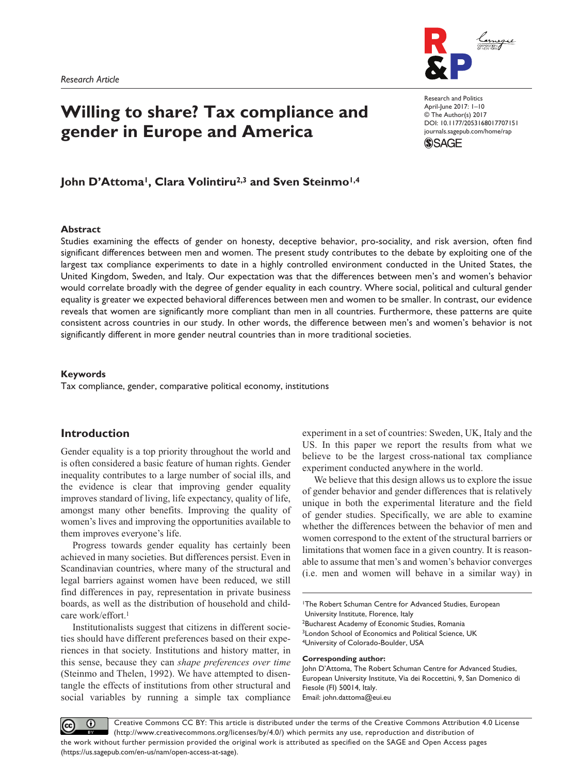# **Willing to share? Tax compliance and gender in Europe and America**



Research and Politics April-June 2017: 1–10 © The Author(s) 2017 [DOI: 10.1177/205316801770715](http://doi.org/10.1177/2053168017707151)1 [journals.sagepub.com/home/rap](http://journals.sagepub.com/home/rap) **SSAGE** 

John D'Attoma<sup>1</sup>, Clara Volintiru<sup>2,3</sup> and Sven Steinmo<sup>1,4</sup>

## **Abstract**

Studies examining the effects of gender on honesty, deceptive behavior, pro-sociality, and risk aversion, often find significant differences between men and women. The present study contributes to the debate by exploiting one of the largest tax compliance experiments to date in a highly controlled environment conducted in the United States, the United Kingdom, Sweden, and Italy. Our expectation was that the differences between men's and women's behavior would correlate broadly with the degree of gender equality in each country. Where social, political and cultural gender equality is greater we expected behavioral differences between men and women to be smaller. In contrast, our evidence reveals that women are significantly more compliant than men in all countries. Furthermore, these patterns are quite consistent across countries in our study. In other words, the difference between men's and women's behavior is not significantly different in more gender neutral countries than in more traditional societies.

## **Keywords**

Tax compliance, gender, comparative political economy, institutions

# **Introduction**

Gender equality is a top priority throughout the world and is often considered a basic feature of human rights. Gender inequality contributes to a large number of social ills, and the evidence is clear that improving gender equality improves standard of living, life expectancy, quality of life, amongst many other benefits. Improving the quality of women's lives and improving the opportunities available to them improves everyone's life.

Progress towards gender equality has certainly been achieved in many societies. But differences persist. Even in Scandinavian countries, where many of the structural and legal barriers against women have been reduced, we still find differences in pay, representation in private business boards, as well as the distribution of household and childcare work/effort.1

Institutionalists suggest that citizens in different societies should have different preferences based on their experiences in that society. Institutions and history matter, in this sense, because they can *shape preferences over time* (Steinmo and Thelen, 1992). We have attempted to disentangle the effects of institutions from other structural and social variables by running a simple tax compliance

experiment in a set of countries: Sweden, UK, Italy and the US. In this paper we report the results from what we believe to be the largest cross-national tax compliance experiment conducted anywhere in the world.

We believe that this design allows us to explore the issue of gender behavior and gender differences that is relatively unique in both the experimental literature and the field of gender studies. Specifically, we are able to examine whether the differences between the behavior of men and women correspond to the extent of the structural barriers or limitations that women face in a given country. It is reasonable to assume that men's and women's behavior converges (i.e. men and women will behave in a similar way) in

1The Robert Schuman Centre for Advanced Studies, European University Institute, Florence, Italy 2Bucharest Academy of Economic Studies, Romania 3London School of Economics and Political Science, UK 4University of Colorado-Boulder, USA

#### **Corresponding author:**

John D'Attoma, The Robert Schuman Centre for Advanced Studies, European University Institute, Via dei Roccettini, 9, San Domenico di Fiesole (FI) 50014, Italy. Email: [john.dattoma@eui.eu](mailto:john.dattoma@eui.eu)

Creative Commons CC BY: This article is distributed under the terms of the Creative Commons Attribution 4.0 License  $\Omega$ ([http://www.creativecommons.org/licenses/by/4.0/\)](http://www.creativecommons.org/licenses/by/4.0/) which permits any use, reproduction and distribution of the work without further permission provided the original work is attributed as specified on the SAGE and Open Access pages (https://us.sagepub.com/en-us/nam/open-access-at-sage).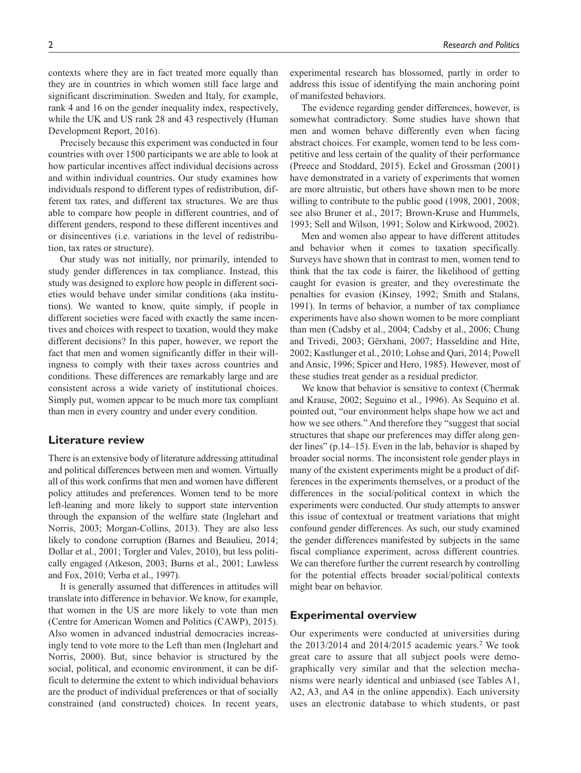contexts where they are in fact treated more equally than they are in countries in which women still face large and significant discrimination. Sweden and Italy, for example, rank 4 and 16 on the gender inequality index, respectively, while the UK and US rank 28 and 43 respectively (Human Development Report, 2016).

Precisely because this experiment was conducted in four countries with over 1500 participants we are able to look at how particular incentives affect individual decisions across and within individual countries. Our study examines how individuals respond to different types of redistribution, different tax rates, and different tax structures. We are thus able to compare how people in different countries, and of different genders, respond to these different incentives and or disincentives (i.e. variations in the level of redistribution, tax rates or structure).

Our study was not initially, nor primarily, intended to study gender differences in tax compliance. Instead, this study was designed to explore how people in different societies would behave under similar conditions (aka institutions). We wanted to know, quite simply, if people in different societies were faced with exactly the same incentives and choices with respect to taxation, would they make different decisions? In this paper, however, we report the fact that men and women significantly differ in their willingness to comply with their taxes across countries and conditions. These differences are remarkably large and are consistent across a wide variety of institutional choices. Simply put, women appear to be much more tax compliant than men in every country and under every condition.

## **Literature review**

There is an extensive body of literature addressing attitudinal and political differences between men and women. Virtually all of this work confirms that men and women have different policy attitudes and preferences. Women tend to be more left-leaning and more likely to support state intervention through the expansion of the welfare state (Inglehart and Norris, 2003; Morgan-Collins, 2013). They are also less likely to condone corruption (Barnes and Beaulieu, 2014; Dollar et al., 2001; Torgler and Valev, 2010), but less politically engaged (Atkeson, 2003; Burns et al., 2001; Lawless and Fox, 2010; Verba et al., 1997).

It is generally assumed that differences in attitudes will translate into difference in behavior. We know, for example, that women in the US are more likely to vote than men (Centre for American Women and Politics (CAWP), 2015). Also women in advanced industrial democracies increasingly tend to vote more to the Left than men (Inglehart and Norris, 2000). But, since behavior is structured by the social, political, and economic environment, it can be difficult to determine the extent to which individual behaviors are the product of individual preferences or that of socially constrained (and constructed) choices. In recent years, experimental research has blossomed, partly in order to address this issue of identifying the main anchoring point of manifested behaviors.

The evidence regarding gender differences, however, is somewhat contradictory. Some studies have shown that men and women behave differently even when facing abstract choices. For example, women tend to be less competitive and less certain of the quality of their performance (Preece and Stoddard, 2015). Eckel and Grossman (2001) have demonstrated in a variety of experiments that women are more altruistic, but others have shown men to be more willing to contribute to the public good (1998, 2001, 2008; see also Bruner et al., 2017; Brown-Kruse and Hummels, 1993; Sell and Wilson, 1991; Solow and Kirkwood, 2002).

Men and women also appear to have different attitudes and behavior when it comes to taxation specifically. Surveys have shown that in contrast to men, women tend to think that the tax code is fairer, the likelihood of getting caught for evasion is greater, and they overestimate the penalties for evasion (Kinsey, 1992; Smith and Stalans, 1991). In terms of behavior, a number of tax compliance experiments have also shown women to be more compliant than men (Cadsby et al., 2004; Cadsby et al., 2006; Chung and Trivedi, 2003; Gërxhani, 2007; Hasseldine and Hite, 2002; Kastlunger et al., 2010; Lohse and Qari, 2014; Powell and Ansic, 1996; Spicer and Hero, 1985). However, most of these studies treat gender as a residual predictor.

We know that behavior is sensitive to context (Chermak and Krause, 2002; Seguino et al., 1996). As Sequino et al. pointed out, "our environment helps shape how we act and how we see others." And therefore they "suggest that social structures that shape our preferences may differ along gender lines" (p.14–15). Even in the lab, behavior is shaped by broader social norms. The inconsistent role gender plays in many of the existent experiments might be a product of differences in the experiments themselves, or a product of the differences in the social/political context in which the experiments were conducted. Our study attempts to answer this issue of contextual or treatment variations that might confound gender differences. As such, our study examined the gender differences manifested by subjects in the same fiscal compliance experiment, across different countries. We can therefore further the current research by controlling for the potential effects broader social/political contexts might bear on behavior.

## **Experimental overview**

Our experiments were conducted at universities during the  $2013/2014$  and  $2014/2015$  academic years.<sup>2</sup> We took great care to assure that all subject pools were demographically very similar and that the selection mechanisms were nearly identical and unbiased (see Tables A1, A2, A3, and A4 in the online appendix). Each university uses an electronic database to which students, or past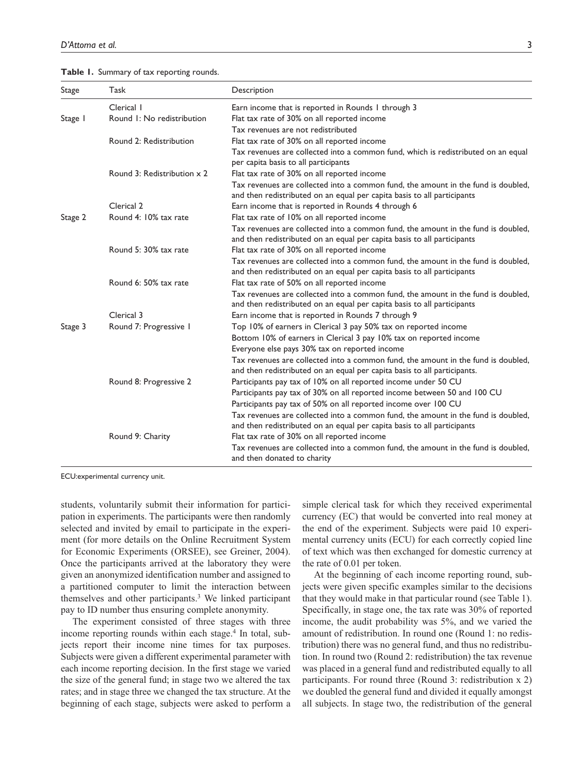|  |  |  | Table 1. Summary of tax reporting rounds. |  |
|--|--|--|-------------------------------------------|--|
|--|--|--|-------------------------------------------|--|

| Stage   | Task                        | Description                                                                                                      |
|---------|-----------------------------|------------------------------------------------------------------------------------------------------------------|
|         | Clerical I                  | Earn income that is reported in Rounds I through 3                                                               |
| Stage 1 | Round 1: No redistribution  | Flat tax rate of 30% on all reported income                                                                      |
|         |                             | Tax revenues are not redistributed                                                                               |
|         | Round 2: Redistribution     | Flat tax rate of 30% on all reported income                                                                      |
|         |                             | Tax revenues are collected into a common fund, which is redistributed on an equal                                |
|         |                             | per capita basis to all participants                                                                             |
|         | Round 3: Redistribution x 2 | Flat tax rate of 30% on all reported income                                                                      |
|         |                             | Tax revenues are collected into a common fund, the amount in the fund is doubled.                                |
|         |                             | and then redistributed on an equal per capita basis to all participants                                          |
|         | Clerical 2                  | Earn income that is reported in Rounds 4 through 6                                                               |
| Stage 2 | Round 4: 10% tax rate       | Flat tax rate of 10% on all reported income                                                                      |
|         |                             | Tax revenues are collected into a common fund, the amount in the fund is doubled,                                |
|         |                             | and then redistributed on an equal per capita basis to all participants                                          |
|         | Round 5: 30% tax rate       | Flat tax rate of 30% on all reported income                                                                      |
|         |                             | Tax revenues are collected into a common fund, the amount in the fund is doubled,                                |
|         |                             | and then redistributed on an equal per capita basis to all participants                                          |
|         | Round 6: 50% tax rate       | Flat tax rate of 50% on all reported income                                                                      |
|         |                             | Tax revenues are collected into a common fund, the amount in the fund is doubled,                                |
|         |                             | and then redistributed on an equal per capita basis to all participants                                          |
|         | Clerical 3                  | Earn income that is reported in Rounds 7 through 9                                                               |
| Stage 3 | Round 7: Progressive 1      | Top 10% of earners in Clerical 3 pay 50% tax on reported income                                                  |
|         |                             | Bottom 10% of earners in Clerical 3 pay 10% tax on reported income                                               |
|         |                             | Everyone else pays 30% tax on reported income                                                                    |
|         |                             | Tax revenues are collected into a common fund, the amount in the fund is doubled.                                |
|         |                             | and then redistributed on an equal per capita basis to all participants.                                         |
|         | Round 8: Progressive 2      | Participants pay tax of 10% on all reported income under 50 CU                                                   |
|         |                             | Participants pay tax of 30% on all reported income between 50 and 100 CU                                         |
|         |                             | Participants pay tax of 50% on all reported income over 100 CU                                                   |
|         |                             | Tax revenues are collected into a common fund, the amount in the fund is doubled,                                |
|         |                             | and then redistributed on an equal per capita basis to all participants                                          |
|         | Round 9: Charity            | Flat tax rate of 30% on all reported income                                                                      |
|         |                             | Tax revenues are collected into a common fund, the amount in the fund is doubled,<br>and then donated to charity |

ECU:experimental currency unit.

students, voluntarily submit their information for participation in experiments. The participants were then randomly selected and invited by email to participate in the experiment (for more details on the Online Recruitment System for Economic Experiments (ORSEE), see Greiner, 2004). Once the participants arrived at the laboratory they were given an anonymized identification number and assigned to a partitioned computer to limit the interaction between themselves and other participants.3 We linked participant pay to ID number thus ensuring complete anonymity.

The experiment consisted of three stages with three income reporting rounds within each stage.<sup>4</sup> In total, subjects report their income nine times for tax purposes. Subjects were given a different experimental parameter with each income reporting decision. In the first stage we varied the size of the general fund; in stage two we altered the tax rates; and in stage three we changed the tax structure. At the beginning of each stage, subjects were asked to perform a

simple clerical task for which they received experimental currency (EC) that would be converted into real money at the end of the experiment. Subjects were paid 10 experimental currency units (ECU) for each correctly copied line of text which was then exchanged for domestic currency at the rate of 0.01 per token.

At the beginning of each income reporting round, subjects were given specific examples similar to the decisions that they would make in that particular round (see Table 1). Specifically, in stage one, the tax rate was 30% of reported income, the audit probability was 5%, and we varied the amount of redistribution. In round one (Round 1: no redistribution) there was no general fund, and thus no redistribution. In round two (Round 2: redistribution) the tax revenue was placed in a general fund and redistributed equally to all participants. For round three (Round 3: redistribution x 2) we doubled the general fund and divided it equally amongst all subjects. In stage two, the redistribution of the general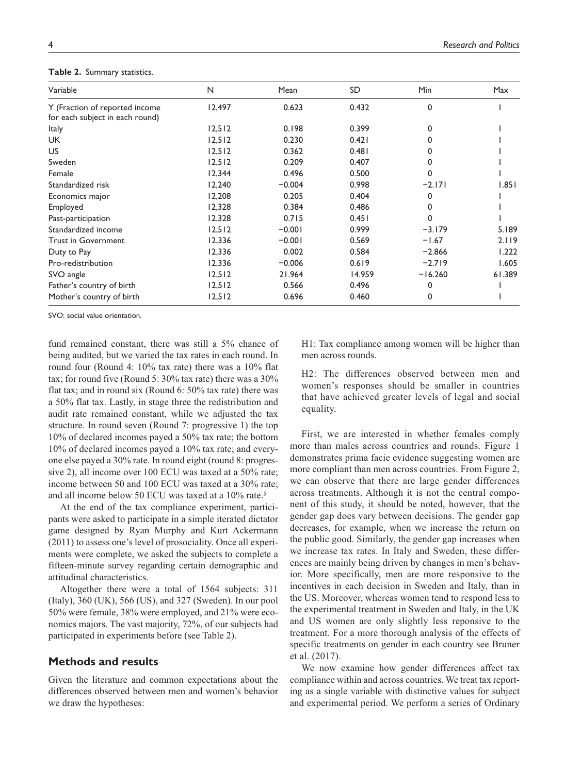| Variable                        | N      | Mean     | SD     | Min       | Max    |
|---------------------------------|--------|----------|--------|-----------|--------|
| Y (Fraction of reported income  | 12,497 | 0.623    | 0.432  | 0         |        |
| for each subject in each round) |        |          |        |           |        |
| Italy                           | 12,512 | 0.198    | 0.399  | 0         |        |
| UK                              | 12,512 | 0.230    | 0.421  | $\Omega$  |        |
| US.                             | 12,512 | 0.362    | 0.481  | $\Omega$  |        |
| Sweden                          | 12,512 | 0.209    | 0.407  | 0         |        |
| Female                          | 12,344 | 0.496    | 0.500  | 0         |        |
| Standardized risk               | 12,240 | $-0.004$ | 0.998  | $-2.171$  | 1.851  |
| Economics major                 | 12,208 | 0.205    | 0.404  | $\Omega$  |        |
| Employed                        | 12,328 | 0.384    | 0.486  | $\Omega$  |        |
| Past-participation              | 12,328 | 0.715    | 0.451  | $\Omega$  |        |
| Standardized income             | 12,512 | $-0.001$ | 0.999  | $-3.179$  | 5.189  |
| <b>Trust in Government</b>      | 12,336 | $-0.001$ | 0.569  | $-1.67$   | 2.119  |
| Duty to Pay                     | 12,336 | 0.002    | 0.584  | $-2.866$  | 1.222  |
| Pro-redistribution              | 12,336 | $-0.006$ | 0.619  | $-2.719$  | 1.605  |
| SVO angle                       | 12,512 | 21.964   | 14.959 | $-16.260$ | 61.389 |
| Father's country of birth       | 12,512 | 0.566    | 0.496  | 0         |        |

Mother's country of birth 12,512 0.696 0.460 0 1

**Table 2.** Summary statistics.

SVO: social value orientation.

fund remained constant, there was still a 5% chance of being audited, but we varied the tax rates in each round. In round four (Round 4: 10% tax rate) there was a 10% flat tax; for round five (Round 5: 30% tax rate) there was a 30% flat tax; and in round six (Round 6: 50% tax rate) there was a 50% flat tax. Lastly, in stage three the redistribution and audit rate remained constant, while we adjusted the tax structure. In round seven (Round 7: progressive 1) the top 10% of declared incomes payed a 50% tax rate; the bottom 10% of declared incomes payed a 10% tax rate; and everyone else payed a 30% rate. In round eight (round 8: progressive 2), all income over 100 ECU was taxed at a 50% rate; income between 50 and 100 ECU was taxed at a 30% rate; and all income below 50 ECU was taxed at a 10% rate.5

At the end of the tax compliance experiment, participants were asked to participate in a simple iterated dictator game designed by Ryan Murphy and Kurt Ackermann (2011) to assess one's level of prosociality. Once all experiments were complete, we asked the subjects to complete a fifteen-minute survey regarding certain demographic and attitudinal characteristics.

Altogether there were a total of 1564 subjects: 311 (Italy), 360 (UK), 566 (US), and 327 (Sweden). In our pool 50% were female, 38% were employed, and 21% were economics majors. The vast majority, 72%, of our subjects had participated in experiments before (see Table 2).

## **Methods and results**

Given the literature and common expectations about the differences observed between men and women's behavior we draw the hypotheses:

H1: Tax compliance among women will be higher than men across rounds.

H2: The differences observed between men and women's responses should be smaller in countries that have achieved greater levels of legal and social equality.

First, we are interested in whether females comply more than males across countries and rounds. Figure 1 demonstrates prima facie evidence suggesting women are more compliant than men across countries. From Figure 2, we can observe that there are large gender differences across treatments. Although it is not the central component of this study, it should be noted, however, that the gender gap does vary between decisions. The gender gap decreases, for example, when we increase the return on the public good. Similarly, the gender gap increases when we increase tax rates. In Italy and Sweden, these differences are mainly being driven by changes in men's behavior. More specifically, men are more responsive to the incentives in each decision in Sweden and Italy, than in the US. Moreover, whereas women tend to respond less to the experimental treatment in Sweden and Italy, in the UK and US women are only slightly less reponsive to the treatment. For a more thorough analysis of the effects of specific treatments on gender in each country see Bruner et al. (2017).

We now examine how gender differences affect tax compliance within and across countries. We treat tax reporting as a single variable with distinctive values for subject and experimental period. We perform a series of Ordinary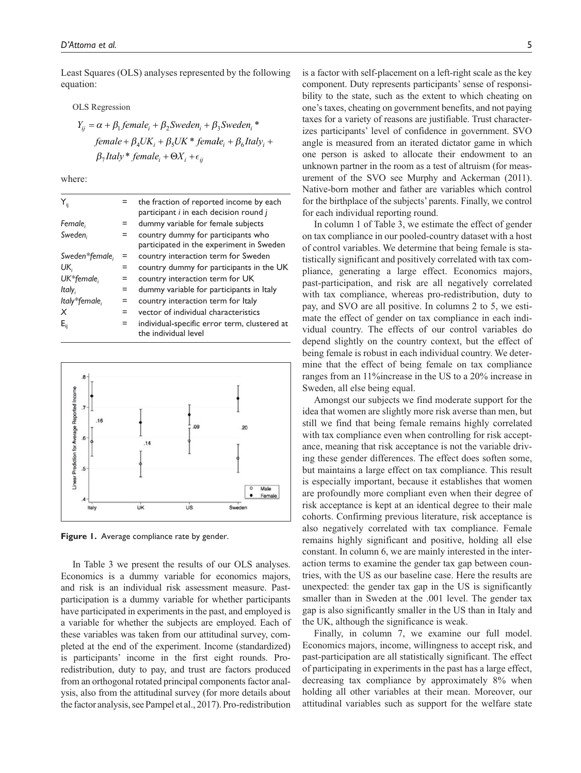Least Squares (OLS) analyses represented by the following equation:

#### OLS Regression

$$
Y_{ij} = \alpha + \beta_1 female_i + \beta_2 Sweden_i + \beta_3 Sweden_i *\nfemale + \beta_4 UK_i + \beta_5 UK * female_i + \beta_6 Italy_i +\n\beta_7 Italy * female_i + \Theta X_i + \epsilon_{ij}
$$

where:

| $Y_{ij}$                            |     | the fraction of reported income by each<br>participant i in each decision round j |
|-------------------------------------|-----|-----------------------------------------------------------------------------------|
| Female,                             |     | dummy variable for female subjects                                                |
| Sweden,                             |     | country dummy for participants who                                                |
|                                     |     | participated in the experiment in Sweden                                          |
| Sweden*female,                      |     | country interaction term for Sweden                                               |
| UK,                                 | =   | country dummy for participants in the UK                                          |
| $UK*female_i$                       |     | country interaction term for UK                                                   |
| Italy,                              | =   | dummy variable for participants in Italy                                          |
| Italy*female,                       |     | country interaction term for Italy                                                |
| X                                   | $=$ | vector of individual characteristics                                              |
| $\mathsf{E}_{\mathsf{i}\mathsf{j}}$ |     | individual-specific error term, clustered at                                      |
|                                     |     | the individual level                                                              |



**Figure 1.** Average compliance rate by gender.

In Table 3 we present the results of our OLS analyses. Economics is a dummy variable for economics majors, and risk is an individual risk assessment measure. Pastparticipation is a dummy variable for whether participants have participated in experiments in the past, and employed is a variable for whether the subjects are employed. Each of these variables was taken from our attitudinal survey, completed at the end of the experiment. Income (standardized) is participants' income in the first eight rounds. Proredistribution, duty to pay, and trust are factors produced from an orthogonal rotated principal components factor analysis, also from the attitudinal survey (for more details about the factor analysis, see Pampel et al., 2017). Pro-redistribution

is a factor with self-placement on a left-right scale as the key component. Duty represents participants' sense of responsibility to the state, such as the extent to which cheating on one's taxes, cheating on government benefits, and not paying taxes for a variety of reasons are justifiable. Trust characterizes participants' level of confidence in government. SVO angle is measured from an iterated dictator game in which one person is asked to allocate their endowment to an unknown partner in the room as a test of altruism (for measurement of the SVO see Murphy and Ackerman (2011). Native-born mother and father are variables which control for the birthplace of the subjects' parents. Finally, we control for each individual reporting round.

In column 1 of Table 3, we estimate the effect of gender on tax compliance in our pooled-country dataset with a host of control variables. We determine that being female is statistically significant and positively correlated with tax compliance, generating a large effect. Economics majors, past-participation, and risk are all negatively correlated with tax compliance, whereas pro-redistribution, duty to pay, and SVO are all positive. In columns 2 to 5, we estimate the effect of gender on tax compliance in each individual country. The effects of our control variables do depend slightly on the country context, but the effect of being female is robust in each individual country. We determine that the effect of being female on tax compliance ranges from an 11%increase in the US to a 20% increase in Sweden, all else being equal.

Amongst our subjects we find moderate support for the idea that women are slightly more risk averse than men, but still we find that being female remains highly correlated with tax compliance even when controlling for risk acceptance, meaning that risk acceptance is not the variable driving these gender differences. The effect does soften some, but maintains a large effect on tax compliance. This result is especially important, because it establishes that women are profoundly more compliant even when their degree of risk acceptance is kept at an identical degree to their male cohorts. Confirming previous literature, risk acceptance is also negatively correlated with tax compliance. Female remains highly significant and positive, holding all else constant. In column 6, we are mainly interested in the interaction terms to examine the gender tax gap between countries, with the US as our baseline case. Here the results are unexpected: the gender tax gap in the US is significantly smaller than in Sweden at the .001 level. The gender tax gap is also significantly smaller in the US than in Italy and the UK, although the significance is weak.

Finally, in column 7, we examine our full model. Economics majors, income, willingness to accept risk, and past-participation are all statistically significant. The effect of participating in experiments in the past has a large effect, decreasing tax compliance by approximately 8% when holding all other variables at their mean. Moreover, our attitudinal variables such as support for the welfare state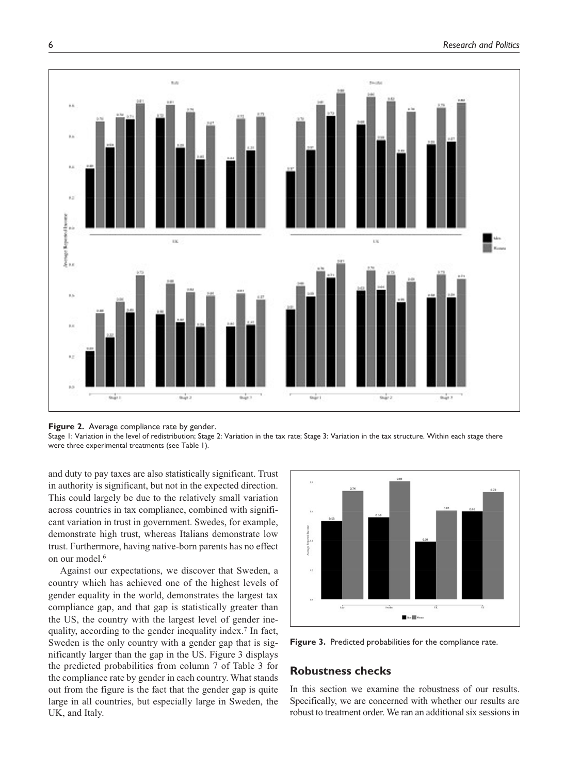

**Figure 2.** Average compliance rate by gender.

Stage 1: Variation in the level of redistribution; Stage 2: Variation in the tax rate; Stage 3: Variation in the tax structure. Within each stage there were three experimental treatments (see Table 1).

and duty to pay taxes are also statistically significant. Trust in authority is significant, but not in the expected direction. This could largely be due to the relatively small variation across countries in tax compliance, combined with significant variation in trust in government. Swedes, for example, demonstrate high trust, whereas Italians demonstrate low trust. Furthermore, having native-born parents has no effect on our model.<sup>6</sup>

Against our expectations, we discover that Sweden, a country which has achieved one of the highest levels of gender equality in the world, demonstrates the largest tax compliance gap, and that gap is statistically greater than the US, the country with the largest level of gender inequality, according to the gender inequality index.7 In fact, Sweden is the only country with a gender gap that is significantly larger than the gap in the US. Figure 3 displays the predicted probabilities from column 7 of Table 3 for the compliance rate by gender in each country. What stands out from the figure is the fact that the gender gap is quite large in all countries, but especially large in Sweden, the UK, and Italy.



**Figure 3.** Predicted probabilities for the compliance rate.

## **Robustness checks**

In this section we examine the robustness of our results. Specifically, we are concerned with whether our results are robust to treatment order. We ran an additional six sessions in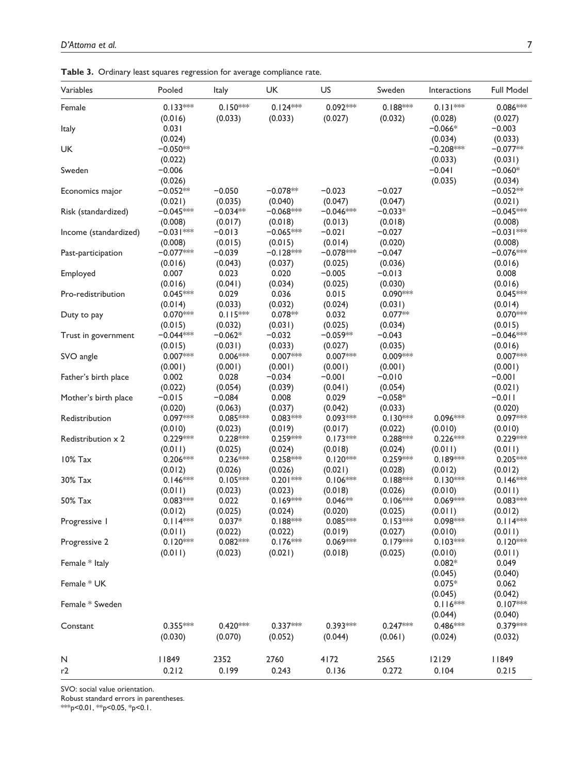**Table 3.** Ordinary least squares regression for average compliance rate.

| Variables             | Pooled                | Italy                 | <b>UK</b>             | US                    | Sweden                | Interactions          | <b>Full Model</b>     |
|-----------------------|-----------------------|-----------------------|-----------------------|-----------------------|-----------------------|-----------------------|-----------------------|
| Female                | $0.133***$            | $0.150^{*}$           | $0.124***$            | $0.092***$            | $0.188***$            | $0.131***$            | $0.086***$            |
|                       | (0.016)               | (0.033)               | (0.033)               | (0.027)               | (0.032)               | (0.028)               | (0.027)               |
| <b>Italy</b>          | 0.031                 |                       |                       |                       |                       | $-0.066*$             | $-0.003$              |
|                       | (0.024)               |                       |                       |                       |                       | (0.034)               | (0.033)               |
| UK                    | $-0.050**$            |                       |                       |                       |                       | $-0.208***$           | $-0.077**$            |
|                       | (0.022)               |                       |                       |                       |                       | (0.033)               | (0.031)               |
| Sweden                | $-0.006$<br>(0.026)   |                       |                       |                       |                       | $-0.041$<br>(0.035)   | $-0.060*$<br>(0.034)  |
| Economics major       | $-0.052**$            | $-0.050$              | $-0.078**$            | $-0.023$              | $-0.027$              |                       | $-0.052**$            |
|                       | (0.021)               | (0.035)               | (0.040)               | (0.047)               | (0.047)               |                       | (0.021)               |
| Risk (standardized)   | $-0.045***$           | $-0.034**$            | $-0.068$ **           | $-0.046***$           | $-0.033*$             |                       | $-0.045***$           |
|                       | (0.008)               | (0.017)               | (0.018)               | (0.013)               | (0.018)               |                       | (0.008)               |
| Income (standardized) | $-0.031***$           | $-0.013$              | $-0.065***$           | $-0.021$              | $-0.027$              |                       | $-0.031***$           |
|                       | (0.008)               | (0.015)               | (0.015)               | (0.014)               | (0.020)               |                       | (0.008)               |
| Past-participation    | $-0.077***$           | $-0.039$              | $-0.128***$           | $-0.078***$           | $-0.047$              |                       | $-0.076***$           |
|                       | (0.016)               | (0.043)               | (0.037)               | (0.025)               | (0.036)               |                       | (0.016)               |
| Employed              | 0.007                 | 0.023                 | 0.020                 | $-0.005$              | $-0.013$              |                       | 0.008                 |
|                       | (0.016)               | (0.041)               | (0.034)               | (0.025)               | (0.030)               |                       | (0.016)               |
| Pro-redistribution    | $0.045***$            | 0.029                 | 0.036                 | 0.015                 | $0.090***$            |                       | $0.045***$            |
|                       | (0.014)<br>$0.070***$ | (0.033)<br>$0.115***$ | (0.032)<br>$0.078**$  | (0.024)<br>0.032      | (0.031)<br>$0.077**$  |                       | (0.014)<br>$0.070***$ |
| Duty to pay           | (0.015)               | (0.032)               | (0.031)               | (0.025)               | (0.034)               |                       | (0.015)               |
| Trust in government   | $-0.044***$           | $-0.062*$             | $-0.032$              | $-0.059**$            | $-0.043$              |                       | $-0.046***$           |
|                       | (0.015)               | (0.031)               | (0.033)               | (0.027)               | (0.035)               |                       | (0.016)               |
| SVO angle             | $0.007***$            | $0.006***$            | $0.007***$            | $0.007***$            | 0.009***              |                       | $0.007***$            |
|                       | (0.001)               | (0.001)               | (0.001)               | (0.001)               | (0.001)               |                       | (0.001)               |
| Father's birth place  | 0.002                 | 0.028                 | $-0.034$              | $-0.001$              | $-0.010$              |                       | $-0.001$              |
|                       | (0.022)               | (0.054)               | (0.039)               | (0.041)               | (0.054)               |                       | (0.021)               |
| Mother's birth place  | $-0.015$              | $-0.084$              | 0.008                 | 0.029                 | $-0.058*$             |                       | $-0.011$              |
|                       | (0.020)               | (0.063)               | (0.037)               | (0.042)               | (0.033)               |                       | (0.020)               |
| Redistribution        | $0.097***$            | $0.085***$            | $0.083***$            | $0.093***$            | $0.130***$            | $0.096***$            | $0.097***$            |
|                       | (0.010)               | (0.023)               | (0.019)               | (0.017)               | (0.022)               | (0.010)               | (0.010)               |
| Redistribution x 2    | 0.229***              | $0.228***$            | $0.259***$            | $0.173***$            | $0.288***$            | $0.226***$            | 0.229***              |
|                       | (0.011)<br>$0.206***$ | (0.025)<br>$0.236***$ | (0.024)<br>$0.258***$ | (0.018)<br>$0.120***$ | (0.024)<br>$0.259***$ | (0.011)<br>$0.189***$ | (0.011)<br>$0.205***$ |
| 10% Tax               | (0.012)               | (0.026)               | (0.026)               | (0.021)               | (0.028)               | (0.012)               | (0.012)               |
| 30% Tax               | $0.146***$            | $0.105***$            | $0.201***$            | $0.106***$            | $0.188***$            | $0.130***$            | $0.146***$            |
|                       | (0.011)               | (0.023)               | (0.023)               | (0.018)               | (0.026)               | (0.010)               | (0.011)               |
| 50% Tax               | $0.083***$            | 0.022                 | $0.169***$            | $0.046**$             | $0.106***$            | $0.069***$            | $0.083***$            |
|                       | (0.012)               | (0.025)               | (0.024)               | (0.020)               | (0.025)               | (0.011)               | (0.012)               |
| Progressive I         | $0.114$ **            | $0.037*$              | $0.188***$            | $0.085***$            | $0.153***$            | $0.098***$            | $0.114^{*+1}$         |
|                       | (0.011)               | (0.022)               | (0.022)               | (0.019)               | (0.027)               | (0.010)               | (0.011)               |
| Progressive 2         | $0.120***$            | $0.082***$            | $0.176***$            | $0.069***$            | 0.179***              | $0.103***$            | $0.120***$            |
|                       | (0.011)               | (0.023)               | (0.021)               | (0.018)               | (0.025)               | (0.010)               | (0.011)               |
| Female * Italy        |                       |                       |                       |                       |                       | $0.082*$              | 0.049                 |
|                       |                       |                       |                       |                       |                       | (0.045)               | (0.040)               |
| Female * UK           |                       |                       |                       |                       |                       | $0.075*$              | 0.062                 |
|                       |                       |                       |                       |                       |                       | (0.045)               | (0.042)               |
| Female * Sweden       |                       |                       |                       |                       |                       | $0.116***$            | $0.107***$            |
| Constant              | $0.355***$            | 0.420***              | $0.337$ **            | $0.393***$            | $0.247***$            | (0.044)<br>0.486***   | (0.040)<br>0.379***   |
|                       |                       |                       |                       |                       |                       |                       |                       |
|                       | (0.030)               | (0.070)               | (0.052)               | (0.044)               | (0.061)               | (0.024)               | (0.032)               |
| N                     | 1849                  | 2352                  | 2760                  | 4172                  | 2565                  | 12129                 | 1849                  |
| r2                    | 0.212                 | 0.199                 | 0.243                 | 0.136                 | 0.272                 | 0.104                 | 0.215                 |
|                       |                       |                       |                       |                       |                       |                       |                       |

SVO: social value orientation.

Robust standard errors in parentheses.

\*\*\*p<0.01, \*\*p<0.05, \*p<0.1.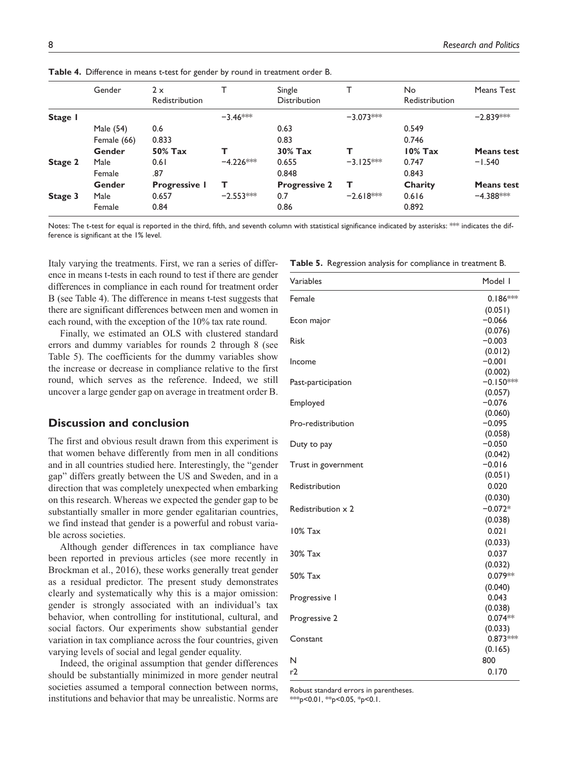|         | Gender      | 2x<br><b>Redistribution</b> |             | Single<br><b>Distribution</b> |             | No<br>Redistribution | Means Test        |
|---------|-------------|-----------------------------|-------------|-------------------------------|-------------|----------------------|-------------------|
| Stage I |             |                             | $-3.46***$  |                               | $-3.073***$ |                      | $-2.839***$       |
|         | Male (54)   | 0.6                         |             | 0.63                          |             | 0.549                |                   |
|         | Female (66) | 0.833                       |             | 0.83                          |             | 0.746                |                   |
|         | Gender      | <b>50% Tax</b>              |             | 30% Tax                       |             | $10%$ Tax            | <b>Means test</b> |
| Stage 2 | Male        | 0.61                        | $-4.226***$ | 0.655                         | $-3.125***$ | 0.747                | $-1.540$          |
|         | Female      | .87                         |             | 0.848                         |             | 0.843                |                   |
|         | Gender      | <b>Progressive I</b>        |             | <b>Progressive 2</b>          |             | <b>Charity</b>       | <b>Means</b> test |
| Stage 3 | Male        | 0.657                       | $-2.553***$ | 0.7                           | $-2.618***$ | 0.616                | $-4.388***$       |
|         | Female      | 0.84                        |             | 0.86                          |             | 0.892                |                   |

**Table 4.** Difference in means t-test for gender by round in treatment order B.

Notes: The t-test for equal is reported in the third, fifth, and seventh column with statistical significance indicated by asterisks: \*\*\* indicates the difference is significant at the 1% level.

Italy varying the treatments. First, we ran a series of difference in means t-tests in each round to test if there are gender differences in compliance in each round for treatment order B (see Table 4). The difference in means t-test suggests that there are significant differences between men and women in each round, with the exception of the 10% tax rate round.

Finally, we estimated an OLS with clustered standard errors and dummy variables for rounds 2 through 8 (see Table 5). The coefficients for the dummy variables show the increase or decrease in compliance relative to the first round, which serves as the reference. Indeed, we still uncover a large gender gap on average in treatment order B.

## **Discussion and conclusion**

The first and obvious result drawn from this experiment is that women behave differently from men in all conditions and in all countries studied here. Interestingly, the "gender gap" differs greatly between the US and Sweden, and in a direction that was completely unexpected when embarking on this research. Whereas we expected the gender gap to be substantially smaller in more gender egalitarian countries, we find instead that gender is a powerful and robust variable across societies.

Although gender differences in tax compliance have been reported in previous articles (see more recently in Brockman et al., 2016), these works generally treat gender as a residual predictor. The present study demonstrates clearly and systematically why this is a major omission: gender is strongly associated with an individual's tax behavior, when controlling for institutional, cultural, and social factors. Our experiments show substantial gender variation in tax compliance across the four countries, given varying levels of social and legal gender equality.

Indeed, the original assumption that gender differences should be substantially minimized in more gender neutral societies assumed a temporal connection between norms, institutions and behavior that may be unrealistic. Norms are

|  |  |  |  | Table 5. Regression analysis for compliance in treatment B. |
|--|--|--|--|-------------------------------------------------------------|
|--|--|--|--|-------------------------------------------------------------|

| Variables           | Model I     |
|---------------------|-------------|
| Female              | $0.186***$  |
|                     | (0.051)     |
| Econ major          | $-0.066$    |
|                     | (0.076)     |
| <b>Risk</b>         | $-0.003$    |
|                     | (0.012)     |
| Income              | $-0.001$    |
|                     | (0.002)     |
| Past-participation  | $-0.150$ ** |
|                     | (0.057)     |
| Employed            | $-0.076$    |
|                     | (0.060)     |
| Pro-redistribution  | $-0.095$    |
|                     | (0.058)     |
| Duty to pay         | $-0.050$    |
|                     | (0.042)     |
| Trust in government | $-0.016$    |
|                     | (0.051)     |
| Redistribution      | 0.020       |
|                     | (0.030)     |
| Redistribution x 2  | $-0.072*$   |
|                     | (0.038)     |
| <b>10% Tax</b>      | 0.021       |
|                     | (0.033)     |
| 30% Tax             | 0.037       |
|                     | (0.032)     |
| 50% Tax             | 0.079**     |
|                     | (0.040)     |
| Progressive I       | 0.043       |
|                     | (0.038)     |
| Progressive 2       | $0.074**$   |
|                     | (0.033)     |
| Constant            | $0.873***$  |
|                     | (0.165)     |
| N                   | 800         |
| r2                  | 0.170       |

Robust standard errors in parentheses.

\*\*\*p<0.01, \*\*p<0.05, \*p<0.1.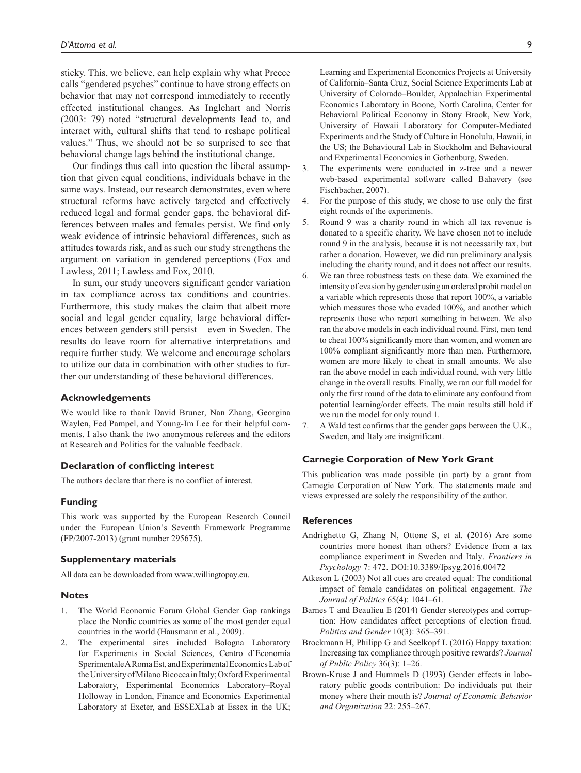sticky. This, we believe, can help explain why what Preece calls "gendered psyches" continue to have strong effects on behavior that may not correspond immediately to recently effected institutional changes. As Inglehart and Norris (2003: 79) noted "structural developments lead to, and interact with, cultural shifts that tend to reshape political values." Thus, we should not be so surprised to see that behavioral change lags behind the institutional change.

Our findings thus call into question the liberal assumption that given equal conditions, individuals behave in the same ways. Instead, our research demonstrates, even where structural reforms have actively targeted and effectively reduced legal and formal gender gaps, the behavioral differences between males and females persist. We find only weak evidence of intrinsic behavioral differences, such as attitudes towards risk, and as such our study strengthens the argument on variation in gendered perceptions (Fox and Lawless, 2011; Lawless and Fox, 2010.

In sum, our study uncovers significant gender variation in tax compliance across tax conditions and countries. Furthermore, this study makes the claim that albeit more social and legal gender equality, large behavioral differences between genders still persist – even in Sweden. The results do leave room for alternative interpretations and require further study. We welcome and encourage scholars to utilize our data in combination with other studies to further our understanding of these behavioral differences.

#### **Acknowledgements**

We would like to thank David Bruner, Nan Zhang, Georgina Waylen, Fed Pampel, and Young-Im Lee for their helpful comments. I also thank the two anonymous referees and the editors at Research and Politics for the valuable feedback.

## **Declaration of conflicting interest**

The authors declare that there is no conflict of interest.

### **Funding**

This work was supported by the European Research Council under the European Union's Seventh Framework Programme (FP/2007-2013) (grant number 295675).

### **Supplementary materials**

All data can be downloaded from [www.willingtopay.eu.](http://www.willingtopay.eu)

#### **Notes**

- 1. The World Economic Forum Global Gender Gap rankings place the Nordic countries as some of the most gender equal countries in the world (Hausmann et al., 2009).
- 2. The experimental sites included Bologna Laboratory for Experiments in Social Sciences, Centro d'Economia Sperimentale A Roma Est, and Experimental Economics Lab of the University of Milano Bicocca in Italy; Oxford Experimental Laboratory, Experimental Economics Laboratory–Royal Holloway in London, Finance and Economics Experimental Laboratory at Exeter, and ESSEXLab at Essex in the UK;

Learning and Experimental Economics Projects at University of California–Santa Cruz, Social Science Experiments Lab at University of Colorado–Boulder, Appalachian Experimental Economics Laboratory in Boone, North Carolina, Center for Behavioral Political Economy in Stony Brook, New York, University of Hawaii Laboratory for Computer-Mediated Experiments and the Study of Culture in Honolulu, Hawaii, in the US; the Behavioural Lab in Stockholm and Behavioural and Experimental Economics in Gothenburg, Sweden.

- 3. The experiments were conducted in z-tree and a newer web-based experimental software called Bahavery (see Fischbacher, 2007).
- 4. For the purpose of this study, we chose to use only the first eight rounds of the experiments.
- 5. Round 9 was a charity round in which all tax revenue is donated to a specific charity. We have chosen not to include round 9 in the analysis, because it is not necessarily tax, but rather a donation. However, we did run preliminary analysis including the charity round, and it does not affect our results.
- 6. We ran three robustness tests on these data. We examined the intensity of evasion by gender using an ordered probit model on a variable which represents those that report 100%, a variable which measures those who evaded 100%, and another which represents those who report something in between. We also ran the above models in each individual round. First, men tend to cheat 100% significantly more than women, and women are 100% compliant significantly more than men. Furthermore, women are more likely to cheat in small amounts. We also ran the above model in each individual round, with very little change in the overall results. Finally, we ran our full model for only the first round of the data to eliminate any confound from potential learning/order effects. The main results still hold if we run the model for only round 1.
- 7. A Wald test confirms that the gender gaps between the U.K., Sweden, and Italy are insignificant.

### **Carnegie Corporation of New York Grant**

This publication was made possible (in part) by a grant from Carnegie Corporation of New York. The statements made and views expressed are solely the responsibility of the author.

## **References**

- Andrighetto G, Zhang N, Ottone S, et al. (2016) Are some countries more honest than others? Evidence from a tax compliance experiment in Sweden and Italy. *Frontiers in Psychology* 7: 472. DOI:10.3389/fpsyg.2016.00472
- Atkeson L (2003) Not all cues are created equal: The conditional impact of female candidates on political engagement. *The Journal of Politics* 65(4): 1041–61.
- Barnes T and Beaulieu E (2014) Gender stereotypes and corruption: How candidates affect perceptions of election fraud. *Politics and Gender* 10(3): 365–391.
- Brockmann H, Philipp G and Seelkopf L (2016) Happy taxation: Increasing tax compliance through positive rewards? *Journal of Public Policy* 36(3): 1–26.
- Brown-Kruse J and Hummels D (1993) Gender effects in laboratory public goods contribution: Do individuals put their money where their mouth is? *Journal of Economic Behavior and Organization* 22: 255–267.